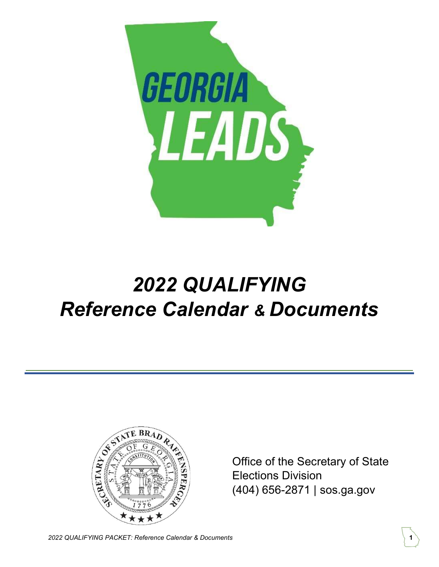

# 2022 QUALIFYING Reference Calendar & Documents



Office of the Secretary of State Elections Division (404) 656-2871 | sos.ga.gov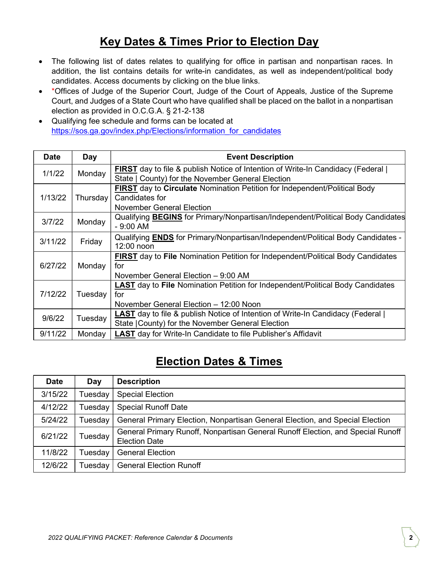### Key Dates & Times Prior to Election Day

- The following list of dates relates to qualifying for office in partisan and nonpartisan races. In addition, the list contains details for write-in candidates, as well as independent/political body candidates. Access documents by clicking on the blue links.
- \* \*Offices of Judge of the Superior Court, Judge of the Court of Appeals, Justice of the Supreme Court, and Judges of a State Court who have qualified shall be placed on the ballot in a nonpartisan election as provided in O.C.G.A. § 21-2-138
- Qualifying fee schedule and forms can be located at https://sos.ga.gov/index.php/Elections/information\_for\_candidates

| <b>Date</b> | Day      | <b>Event Description</b>                                                                      |
|-------------|----------|-----------------------------------------------------------------------------------------------|
| 1/1/22      | Monday   | <b>FIRST</b> day to file & publish Notice of Intention of Write-In Candidacy (Federal         |
|             |          | State   County) for the November General Election                                             |
| 1/13/22     | Thursday | <b>FIRST</b> day to <b>Circulate</b> Nomination Petition for Independent/Political Body       |
|             |          | Candidates for                                                                                |
|             |          | November General Election                                                                     |
| 3/7/22      | Monday   | Qualifying <b>BEGINS</b> for Primary/Nonpartisan/Independent/Political Body Candidates        |
|             |          | $-9:00$ AM                                                                                    |
| 3/11/22     | Friday   | Qualifying <b>ENDS</b> for Primary/Nonpartisan/Independent/Political Body Candidates -        |
|             |          | $12:00$ noon                                                                                  |
| 6/27/22     | Monday   | <b>FIRST</b> day to <b>File</b> Nomination Petition for Independent/Political Body Candidates |
|             |          | for                                                                                           |
|             |          | November General Election – 9:00 AM                                                           |
| 7/12/22     | Tuesday  | <b>LAST</b> day to <b>File</b> Nomination Petition for Independent/Political Body Candidates  |
|             |          | for                                                                                           |
|             |          | November General Election - 12:00 Noon                                                        |
| 9/6/22      | Tuesday  | <b>LAST</b> day to file & publish Notice of Intention of Write-In Candidacy (Federal)         |
|             |          | State (County) for the November General Election                                              |
| 9/11/22     | Monday   | <b>LAST</b> day for Write-In Candidate to file Publisher's Affidavit                          |

## Election Dates & Times

| <b>Date</b> | Day     | <b>Description</b>                                                                                      |  |
|-------------|---------|---------------------------------------------------------------------------------------------------------|--|
| 3/15/22     | Tuesday | <b>Special Election</b>                                                                                 |  |
| 4/12/22     | Tuesday | <b>Special Runoff Date</b>                                                                              |  |
| 5/24/22     | Tuesday | General Primary Election, Nonpartisan General Election, and Special Election                            |  |
| 6/21/22     | Tuesday | General Primary Runoff, Nonpartisan General Runoff Election, and Special Runoff<br><b>Election Date</b> |  |
| 11/8/22     | Tuesday | <b>General Election</b>                                                                                 |  |
| 12/6/22     | Tuesday | <b>General Election Runoff</b>                                                                          |  |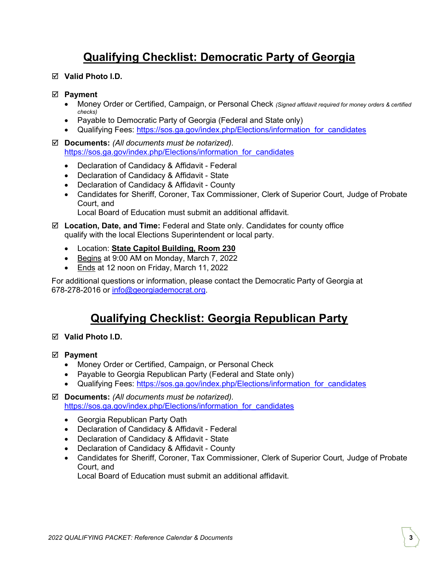## Qualifying Checklist: Democratic Party of Georgia

Valid Photo I.D.

#### ⊠ Payment

- Money Order or Certified, Campaign, or Personal Check (Signed affidavit required for money orders & certified checks)
- Payable to Democratic Party of Georgia (Federal and State only)
- Qualifying Fees: https://sos.ga.gov/index.php/Elections/information for candidates
- $\boxtimes$  Documents: (All documents must be notarized). https://sos.ga.gov/index.php/Elections/information\_for\_candidates
	- Declaration of Candidacy & Affidavit Federal
	- Declaration of Candidacy & Affidavit State
	- Declaration of Candidacy & Affidavit County
	- Candidates for Sheriff, Coroner, Tax Commissioner, Clerk of Superior Court, Judge of Probate Court, and

Local Board of Education must submit an additional affidavit.

- $\boxtimes$  Location, Date, and Time: Federal and State only. Candidates for county office qualify with the local Elections Superintendent or local party.
	- Location: State Capitol Building, Room 230
	- Begins at 9:00 AM on Monday, March 7, 2022
	- Ends at 12 noon on Friday, March 11, 2022

For additional questions or information, please contact the Democratic Party of Georgia at 678-278-2016 or info@georgiademocrat.org.

#### Qualifying Checklist: Georgia Republican Party

- $\nabla$  Valid Photo I.D.
- $\boxtimes$  Payment
	- Money Order or Certified, Campaign, or Personal Check
	- Payable to Georgia Republican Party (Federal and State only)
	- Qualifying Fees: https://sos.ga.gov/index.php/Elections/information for candidates
- $\boxtimes$  Documents: (All documents must be notarized). https://sos.ga.gov/index.php/Elections/information\_for\_candidates
	- Georgia Republican Party Oath
	- Declaration of Candidacy & Affidavit Federal
	- Declaration of Candidacy & Affidavit State
	- Declaration of Candidacy & Affidavit County
	- Candidates for Sheriff, Coroner, Tax Commissioner, Clerk of Superior Court, Judge of Probate Court, and

Local Board of Education must submit an additional affidavit.